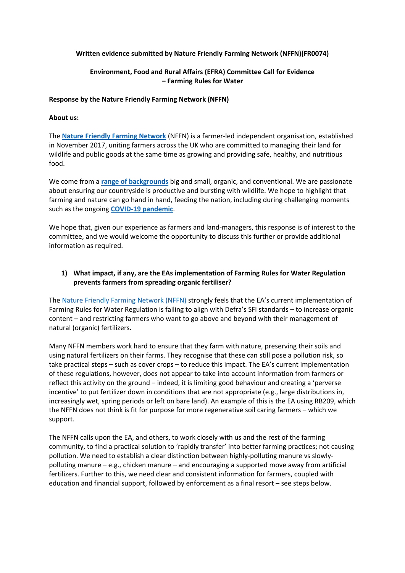### **Written evidence submitted by Nature Friendly Farming Network (NFFN)(FR0074)**

### **Environment, Food and Rural Affairs (EFRA) Committee Call for Evidence – Farming Rules for Water**

### **Response by the Nature Friendly Farming Network (NFFN)**

### **About us:**

The **[Nature](https://www.nffn.org.uk/) [Friendly](https://www.nffn.org.uk/) [Farming](https://www.nffn.org.uk/) [Network](https://www.nffn.org.uk/)** (NFFN) is a farmer-led independent organisation, established in November 2017, uniting farmers across the UK who are committed to managing their land for wildlife and public goods at the same time as growing and providing safe, healthy, and nutritious food.

We come from a **[range](https://www.nffn.org.uk/wp-content/uploads/2019/10/NFFN_report_v7.1.pdf) [of](https://www.nffn.org.uk/wp-content/uploads/2019/10/NFFN_report_v7.1.pdf) [backgrounds](https://www.nffn.org.uk/wp-content/uploads/2019/10/NFFN_report_v7.1.pdf)** big and small, organic, and conventional. We are passionate about ensuring our countryside is productive and bursting with wildlife. We hope to highlight that farming and nature can go hand in hand, feeding the nation, including during challenging moments such as the ongoing **[COVID-19](https://www.nffn.org.uk/wp-content/uploads/2020/04/NFFN-Report-1.pdf) [pandemic](https://www.nffn.org.uk/wp-content/uploads/2020/04/NFFN-Report-1.pdf)**.

We hope that, given our experience as farmers and land-managers, this response is of interest to the committee, and we would welcome the opportunity to discuss this further or provide additional information as required.

### **1) What impact, if any, are the EAs implementation of Farming Rules for Water Regulation prevents farmers from spreading organic fertiliser?**

The [Nature](https://www.nffn.org.uk/) [Friendly](https://www.nffn.org.uk/) [Farming](https://www.nffn.org.uk/) [Network](https://www.nffn.org.uk/) [\(NFFN\)](https://www.nffn.org.uk/) strongly feels that the EA's current implementation of Farming Rules for Water Regulation is failing to align with Defra's SFI standards – to increase organic content – and restricting farmers who want to go above and beyond with their management of natural (organic) fertilizers.

Many NFFN members work hard to ensure that they farm with nature, preserving their soils and using natural fertilizers on their farms. They recognise that these can still pose a pollution risk, so take practical steps – such as cover crops – to reduce this impact. The EA's current implementation of these regulations, however, does not appear to take into account information from farmers or reflect this activity on the ground – indeed, it is limiting good behaviour and creating a 'perverse incentive' to put fertilizer down in conditions that are not appropriate (e.g., large distributions in, increasingly wet, spring periods or left on bare land). An example of this is the EA using RB209, which the NFFN does not think is fit for purpose for more regenerative soil caring farmers – which we support.

The NFFN calls upon the EA, and others, to work closely with us and the rest of the farming community, to find a practical solution to 'rapidly transfer' into better farming practices; not causing pollution. We need to establish a clear distinction between highly-polluting manure vs slowlypolluting manure – e.g., chicken manure – and encouraging a supported move away from artificial fertilizers. Further to this, we need clear and consistent information for farmers, coupled with education and financial support, followed by enforcement as a final resort – see steps below.